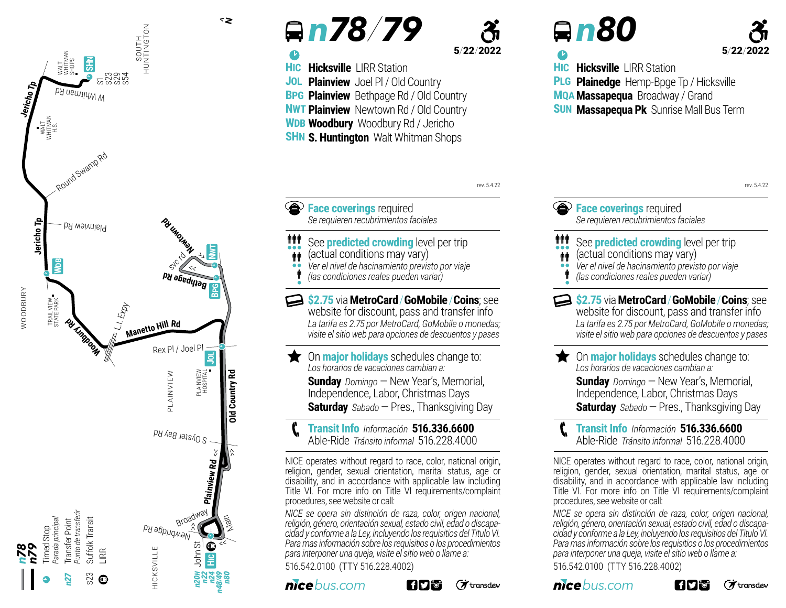

### <sup>b</sup> *n 78/79*

**Hicksville | IRR Station** 

**BPG Plainview** Bethpage Rd / Old Country **NWT Plainview** Newtown Rd / Old Country **WDB Woodbury** Woodbury Rd / Jericho **SHN S. Huntington** Walt Whitman Shops

**Plainview** Joel Pl / Old Country

**HIC JOL**

#### 5/22/2022

rev. 5.4.22

# <sup>b</sup> *n 80*

## 5/22/2022

**HIC PLG MQA Massapequa** Broadway / Grand **SUN Massapequa Pk** Sunrise Mall Bus Term **Hicksville | IRR Station Plainedge** Hemp-Bpge Tp / Hicksville

**Example 2 Face coverings** required *Se requieren recubrimientos faciales*

- See **predicted crowding** level per trip (actual conditions may vary) **\*\*\***
- $\ddot{\phi}$
- *Ver el nivel de hacinamiento previsto por viaje* •• İ
- *(las condiciones reales pueden variar)* •

**\$2.75** via**MetroCard**/**GoMobile**/**Coins**; see website for discount, pass and transfer info *La tarifa es 2.75 por MetroCard, GoMobile o monedas; visite el sitio web para opciones de descuentos y pases* 

On **major holidays** schedules change to: *Los horarios de vacaciones cambian a:*  **Sunday** Domingo – New Year's, Memorial, Independence, Labor, Christmas Days **Saturday** *Sabado* —Pres., Thanksgiving Day

**Transit Info** *Información* **516.336.6600** Able-Ride *Tránsito informal* 516.228.4000 <sup>p</sup>

NICE operates without regard to race, color, national origin, religion, gender, sexual orientation, marital status, age or disability, and in accordance with applicable law including Title VI. For more info on Title VI requirements/complaint procedures, see website or call:

*NICE se opera sin distinción de raza, color, origen nacional, religión, género, orientación sexual, estado civil, edad o discapacidad y conforme a la Ley, incluyendo los requisitios del Titulo VI. Para mas información sobre los requisitios o los procedimientos para interponer una queja, visite el sitio web o llame a:* 516.542.0100 (TTY 516.228.4002)





 $\vec{\pi}$ transdev

rev. 5.4.22**Face coverings** required *Se requieren recubrimientos faciales* 111 See **predicted crowding** level per trip (actual conditions may vary)  $\ddot{\mathbf{r}}$ *Ver el nivel de hacinamiento previsto por viaje* •• İ *(las condiciones reales pueden variar)* • **\$2.75** via**MetroCard**/**GoMobile**/**Coins**; see website for discount, pass and transfer info *La tarifa es 2.75 por MetroCard, GoMobile o monedas; visite el sitio web para opciones de descuentos y pases*  On **major holidays** schedules change to: *Los horarios de vacaciones cambian a:*  **Sunday** Domingo – New Year's, Memorial, Independence, Labor, Christmas Days **Saturday** *Sabado* —Pres., Thanksgiving Day **Transit Info** *Información* **516.336.6600** Able-Ride *Tránsito informal* 516.228.4000 <sup>p</sup> NICE operates without regard to race, color, national origin, religion, gender, sexual orientation, marital status, age or disability, and in accordance with applicable law including Title VI. For more info on Title VI requirements/complaint procedures, see website or call: *NICE se opera sin distinción de raza, color, origen nacional, religión, género, orientación sexual, estado civil, edad o discapacidad y conforme a la Ley, incluyendo los requisitios del Titulo VI. Para mas información sobre los requisitios o los procedimientos para interponer una queja, visite el sitio web o llame a:* 516.542.0100 (TTY 516.228.4002) *nicebus.com* i fiyi‴o'  $(7)$  transdev